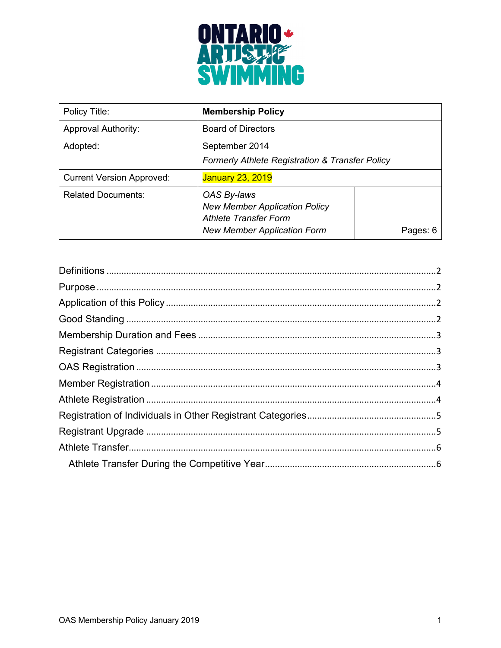

| Policy Title:                    | <b>Membership Policy</b>                                                                                                  |          |
|----------------------------------|---------------------------------------------------------------------------------------------------------------------------|----------|
| <b>Approval Authority:</b>       | <b>Board of Directors</b>                                                                                                 |          |
| Adopted:                         | September 2014<br><b>Formerly Athlete Registration &amp; Transfer Policy</b>                                              |          |
| <b>Current Version Approved:</b> | <b>January 23, 2019</b>                                                                                                   |          |
| <b>Related Documents:</b>        | OAS By-laws<br><b>New Member Application Policy</b><br><b>Athlete Transfer Form</b><br><b>New Member Application Form</b> | Pages: 6 |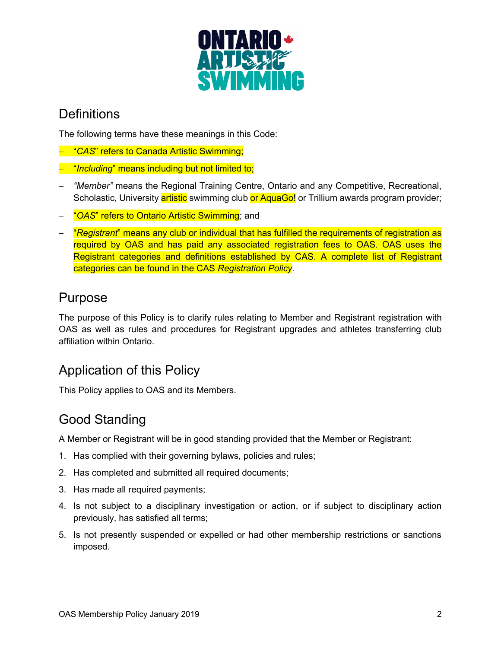

#### **Definitions**

The following terms have these meanings in this Code:

- "*CAS*" refers to Canada Artistic Swimming;
- "*Including*" means including but not limited to;
- *"Member"* means the Regional Training Centre, Ontario and any Competitive, Recreational, Scholastic, University artistic swimming club or AquaGo! or Trillium awards program provider;
- "*OAS*" refers to Ontario Artistic Swimming; and
- "*Registrant*" means any club or individual that has fulfilled the requirements of registration as required by OAS and has paid any associated registration fees to OAS. OAS uses the Registrant categories and definitions established by CAS. A complete list of Registrant categories can be found in the CAS *Registration Policy*.

#### Purpose

The purpose of this Policy is to clarify rules relating to Member and Registrant registration with OAS as well as rules and procedures for Registrant upgrades and athletes transferring club affiliation within Ontario.

## Application of this Policy

This Policy applies to OAS and its Members.

## Good Standing

A Member or Registrant will be in good standing provided that the Member or Registrant:

- 1. Has complied with their governing bylaws, policies and rules;
- 2. Has completed and submitted all required documents;
- 3. Has made all required payments;
- 4. Is not subject to a disciplinary investigation or action, or if subject to disciplinary action previously, has satisfied all terms;
- 5. Is not presently suspended or expelled or had other membership restrictions or sanctions imposed.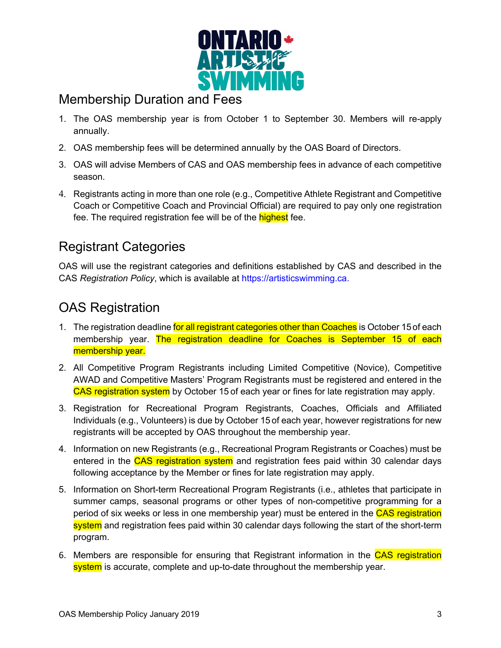

### Membership Duration and Fees

- 1. The OAS membership year is from October 1 to September 30. Members will re-apply annually.
- 2. OAS membership fees will be determined annually by the OAS Board of Directors.
- 3. OAS will advise Members of CAS and OAS membership fees in advance of each competitive season.
- 4. Registrants acting in more than one role (e.g., Competitive Athlete Registrant and Competitive Coach or Competitive Coach and Provincial Official) are required to pay only one registration fee. The required registration fee will be of the **highest** fee.

## Registrant Categories

OAS will use the registrant categories and definitions established by CAS and described in the CAS *Registration Policy*, which is available at https://artisticswimming.ca.

# OAS Registration

- 1. The registration deadline for all registrant categories other than Coaches is October 15 of each membership year. The registration deadline for Coaches is September 15 of each membership year.
- 2. All Competitive Program Registrants including Limited Competitive (Novice), Competitive AWAD and Competitive Masters' Program Registrants must be registered and entered in the CAS registration system by October 15 of each year or fines for late registration may apply.
- 3. Registration for Recreational Program Registrants, Coaches, Officials and Affiliated Individuals (e.g., Volunteers) is due by October 15 of each year, however registrations for new registrants will be accepted by OAS throughout the membership year.
- 4. Information on new Registrants (e.g., Recreational Program Registrants or Coaches) must be entered in the CAS registration system and registration fees paid within 30 calendar days following acceptance by the Member or fines for late registration may apply.
- 5. Information on Short-term Recreational Program Registrants (i.e., athletes that participate in summer camps, seasonal programs or other types of non-competitive programming for a period of six weeks or less in one membership year) must be entered in the CAS registration system and registration fees paid within 30 calendar days following the start of the short-term program.
- 6. Members are responsible for ensuring that Registrant information in the CAS registration system is accurate, complete and up-to-date throughout the membership year.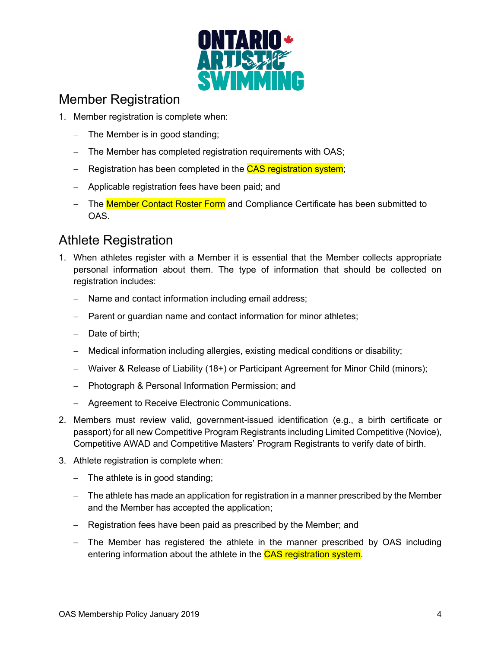

#### Member Registration

- 1. Member registration is complete when:
	- The Member is in good standing;
	- The Member has completed registration requirements with OAS;
	- Registration has been completed in the CAS registration system;
	- Applicable registration fees have been paid; and
	- The Member Contact Roster Form and Compliance Certificate has been submitted to OAS.

## Athlete Registration

- 1. When athletes register with a Member it is essential that the Member collects appropriate personal information about them. The type of information that should be collected on registration includes:
	- Name and contact information including email address;
	- Parent or quardian name and contact information for minor athletes;
	- Date of birth;
	- Medical information including allergies, existing medical conditions or disability;
	- Waiver & Release of Liability (18+) or Participant Agreement for Minor Child (minors);
	- Photograph & Personal Information Permission; and
	- Agreement to Receive Electronic Communications.
- 2. Members must review valid, government-issued identification (e.g., a birth certificate or passport) for all new Competitive Program Registrants including Limited Competitive (Novice), Competitive AWAD and Competitive Masters' Program Registrants to verify date of birth.
- 3. Athlete registration is complete when:
	- The athlete is in good standing;
	- The athlete has made an application for registration in a manner prescribed by the Member and the Member has accepted the application;
	- Registration fees have been paid as prescribed by the Member; and
	- The Member has registered the athlete in the manner prescribed by OAS including entering information about the athlete in the CAS registration system.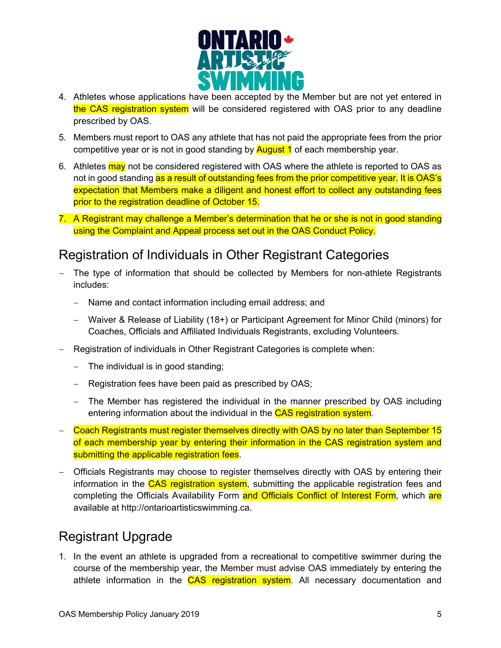

- 4. Athletes whose applications have been accepted by the Member but are not yet entered in the CAS registration system will be considered registered with OAS prior to any deadline prescribed by OAS.
- 5. Members must report to OAS any athlete that has not paid the appropriate fees from the prior competitive year or is not in good standing by **August 1** of each membership year.
- 6. Athletes may not be considered registered with OAS where the athlete is reported to OAS as not in good standing as a result of outstanding fees from the prior competitive year. It is OAS's expectation that Members make a diligent and honest effort to collect any outstanding fees prior to the registration deadline of October 15.
- 7. A Registrant may challenge a Member's determination that he or she is not in good standing using the Complaint and Appeal process set out in the OAS Conduct Policy.

#### Registration of Individuals in Other Registrant Categories

- The type of information that should be collected by Members for non-athlete Registrants includes:
	- Name and contact information including email address; and
	- Waiver & Release of Liability (18+) or Participant Agreement for Minor Child (minors) for Coaches, Officials and Affiliated Individuals Registrants, excluding Volunteers.
- Registration of individuals in Other Registrant Categories is complete when:
	- The individual is in good standing;
	- Registration fees have been paid as prescribed by OAS;
	- The Member has registered the individual in the manner prescribed by OAS including entering information about the individual in the CAS registration system.
- Coach Registrants must register themselves directly with OAS by no later than September 15 of each membership year by entering their information in the CAS registration system and submitting the applicable registration fees.
- Officials Registrants may choose to register themselves directly with OAS by entering their information in the CAS registration system, submitting the applicable registration fees and completing the Officials Availability Form and Officials Conflict of Interest Form, which are available at http://ontarioartisticswimming.ca.

## Registrant Upgrade

1. In the event an athlete is upgraded from a recreational to competitive swimmer during the course of the membership year, the Member must advise OAS immediately by entering the athlete information in the CAS registration system. All necessary documentation and